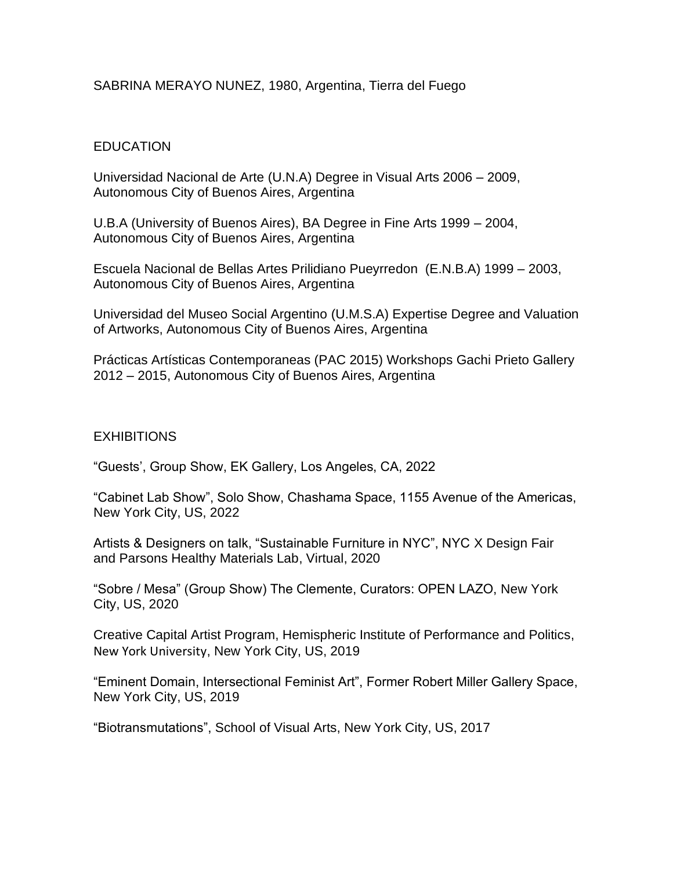### SABRINA MERAYO NUNEZ, 1980, Argentina, Tierra del Fuego

# **EDUCATION**

Universidad Nacional de Arte (U.N.A) Degree in Visual Arts 2006 – 2009, Autonomous City of Buenos Aires, Argentina

U.B.A (University of Buenos Aires), BA Degree in Fine Arts 1999 – 2004, Autonomous City of Buenos Aires, Argentina

Escuela Nacional de Bellas Artes Prilidiano Pueyrredon (E.N.B.A) 1999 – 2003, Autonomous City of Buenos Aires, Argentina

Universidad del Museo Social Argentino (U.M.S.A) Expertise Degree and Valuation of Artworks, Autonomous City of Buenos Aires, Argentina

Prácticas Artísticas Contemporaneas (PAC 2015) Workshops Gachi Prieto Gallery 2012 – 2015, Autonomous City of Buenos Aires, Argentina

### **EXHIBITIONS**

"Guests', Group Show, EK Gallery, Los Angeles, CA, 2022

"Cabinet Lab Show", Solo Show, Chashama Space, 1155 Avenue of the Americas, New York City, US, 2022

Artists & Designers on talk, "Sustainable Furniture in NYC", NYC X Design Fair and Parsons Healthy Materials Lab, Virtual, 2020

"Sobre / Mesa" (Group Show) The Clemente, Curators: OPEN LAZO, New York City, US, 2020

Creative Capital Artist Program, Hemispheric Institute of Performance and Politics, New York University, New York City, US, 2019

"Eminent Domain, Intersectional Feminist Art", Former Robert Miller Gallery Space, New York City, US, 2019

"Biotransmutations", School of Visual Arts, New York City, US, 2017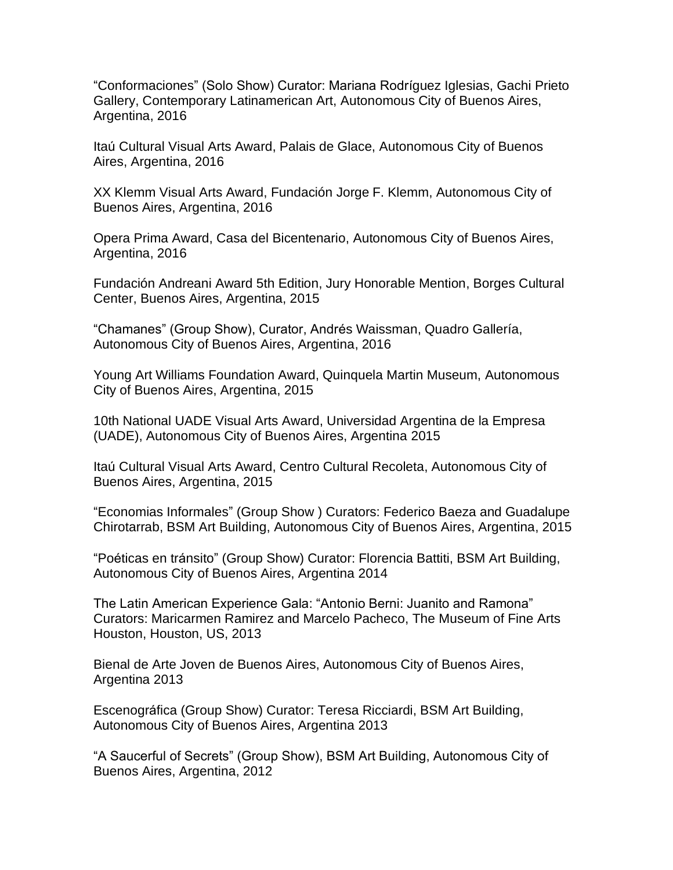"Conformaciones" (Solo Show) Curator: Mariana Rodríguez Iglesias, Gachi Prieto Gallery, Contemporary Latinamerican Art, Autonomous City of Buenos Aires, Argentina, 2016

Itaú Cultural Visual Arts Award, Palais de Glace, Autonomous City of Buenos Aires, Argentina, 2016

XX Klemm Visual Arts Award, Fundación Jorge F. Klemm, Autonomous City of Buenos Aires, Argentina, 2016

Opera Prima Award, Casa del Bicentenario, Autonomous City of Buenos Aires, Argentina, 2016

Fundación Andreani Award 5th Edition, Jury Honorable Mention, Borges Cultural Center, Buenos Aires, Argentina, 2015

"Chamanes" (Group Show), Curator, Andrés Waissman, Quadro Gallería, Autonomous City of Buenos Aires, Argentina, 2016

Young Art Williams Foundation Award, Quinquela Martin Museum, Autonomous City of Buenos Aires, Argentina, 2015

10th National UADE Visual Arts Award, Universidad Argentina de la Empresa (UADE), Autonomous City of Buenos Aires, Argentina 2015

Itaú Cultural Visual Arts Award, Centro Cultural Recoleta, Autonomous City of Buenos Aires, Argentina, 2015

"Economias Informales" (Group Show ) Curators: Federico Baeza and Guadalupe Chirotarrab, BSM Art Building, Autonomous City of Buenos Aires, Argentina, 2015

"Poéticas en tránsito" (Group Show) Curator: Florencia Battiti, BSM Art Building, Autonomous City of Buenos Aires, Argentina 2014

The Latin American Experience Gala: "Antonio Berni: Juanito and Ramona" Curators: Maricarmen Ramirez and Marcelo Pacheco, The Museum of Fine Arts Houston, Houston, US, 2013

Bienal de Arte Joven de Buenos Aires, Autonomous City of Buenos Aires, Argentina 2013

Escenográfica (Group Show) Curator: Teresa Ricciardi, BSM Art Building, Autonomous City of Buenos Aires, Argentina 2013

"A Saucerful of Secrets" (Group Show), BSM Art Building, Autonomous City of Buenos Aires, Argentina, 2012